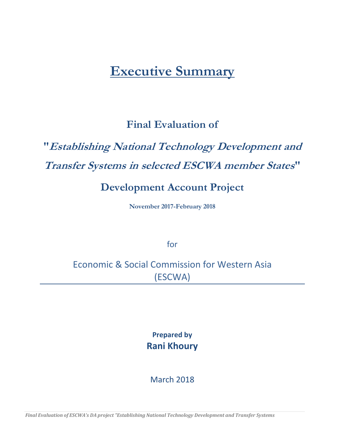## **Executive Summary**

## **Final Evaluation of**

# **"Establishing National Technology Development and Transfer Systems in selected ESCWA member States"**

## **Development Account Project**

**November 2017-February 2018** 

for

## Economic & Social Commission for Western Asia (ESCWA)

**Prepared by Rani Khoury** 

March 2018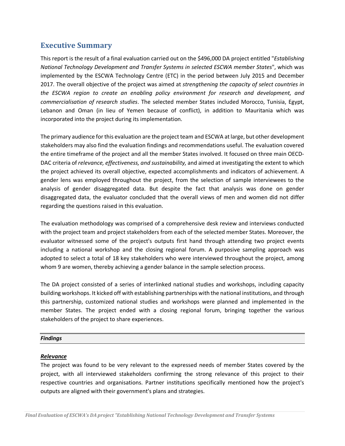### **Executive Summary**

This report is the result of a final evaluation carried out on the \$496,000 DA project entitled "*Establishing National Technology Development and Transfer Systems in selected ESCWA member States*", which was implemented by the ESCWA Technology Centre (ETC) in the period between July 2015 and December 2017. The overall objective of the project was aimed at *strengthening the capacity of select countries in the ESCWA region to create an enabling policy environment for research and development, and commercialisation of research studies*. The selected member States included Morocco, Tunisia, Egypt, Lebanon and Oman (in lieu of Yemen because of conflict), in addition to Mauritania which was incorporated into the project during its implementation.

The primary audience for this evaluation are the project team and ESCWA at large, but other development stakeholders may also find the evaluation findings and recommendations useful. The evaluation covered the entire timeframe of the project and all the member States involved. It focused on three main OECD-DAC criteria of *relevance, effectiveness, and sustainability,* and aimed at investigating the extent to which the project achieved its overall objective, expected accomplishments and indicators of achievement. A gender lens was employed throughout the project, from the selection of sample interviewees to the analysis of gender disaggregated data. But despite the fact that analysis was done on gender disaggregated data, the evaluator concluded that the overall views of men and women did not differ regarding the questions raised in this evaluation.

The evaluation methodology was comprised of a comprehensive desk review and interviews conducted with the project team and project stakeholders from each of the selected member States. Moreover, the evaluator witnessed some of the project's outputs first hand through attending two project events including a national workshop and the closing regional forum. A purposive sampling approach was adopted to select a total of 18 key stakeholders who were interviewed throughout the project, among whom 9 are women, thereby achieving a gender balance in the sample selection process.

The DA project consisted of a series of interlinked national studies and workshops, including capacity building workshops. It kicked off with establishing partnerships with the national institutions, and through this partnership, customized national studies and workshops were planned and implemented in the member States. The project ended with a closing regional forum, bringing together the various stakeholders of the project to share experiences.

#### *Findings*

#### *Relevance*

The project was found to be very relevant to the expressed needs of member States covered by the project, with all interviewed stakeholders confirming the strong relevance of this project to their respective countries and organisations. Partner institutions specifically mentioned how the project's outputs are aligned with their government's plans and strategies.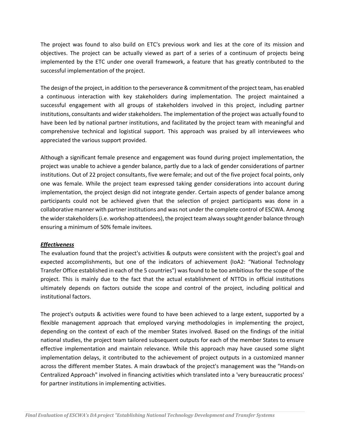The project was found to also build on ETC's previous work and lies at the core of its mission and objectives. The project can be actually viewed as part of a series of a continuum of projects being implemented by the ETC under one overall framework, a feature that has greatly contributed to the successful implementation of the project.

The design of the project, in addition to the perseverance & commitment of the project team, has enabled a continuous interaction with key stakeholders during implementation. The project maintained a successful engagement with all groups of stakeholders involved in this project, including partner institutions, consultants and wider stakeholders. The implementation of the project was actually found to have been led by national partner institutions, and facilitated by the project team with meaningful and comprehensive technical and logistical support. This approach was praised by all interviewees who appreciated the various support provided.

Although a significant female presence and engagement was found during project implementation, the project was unable to achieve a gender balance, partly due to a lack of gender considerations of partner institutions. Out of 22 project consultants, five were female; and out of the five project focal points, only one was female. While the project team expressed taking gender considerations into account during implementation, the project design did not integrate gender. Certain aspects of gender balance among participants could not be achieved given that the selection of project participants was done in a collaborative manner with partner institutions and was not under the complete control of ESCWA. Among the wider stakeholders (i.e. workshop attendees), the project team always sought gender balance through ensuring a minimum of 50% female invitees.

#### *Effectiveness*

The evaluation found that the project's activities & outputs were consistent with the project's goal and expected accomplishments, but one of the indicators of achievement (IoA2: "National Technology Transfer Office established in each of the 5 countries") was found to be too ambitious for the scope of the project. This is mainly due to the fact that the actual establishment of NTTOs in official institutions ultimately depends on factors outside the scope and control of the project, including political and institutional factors.

The project's outputs & activities were found to have been achieved to a large extent, supported by a flexible management approach that employed varying methodologies in implementing the project, depending on the context of each of the member States involved. Based on the findings of the initial national studies, the project team tailored subsequent outputs for each of the member States to ensure effective implementation and maintain relevance. While this approach may have caused some slight implementation delays, it contributed to the achievement of project outputs in a customized manner across the different member States. A main drawback of the project's management was the "Hands-on Centralized Approach" involved in financing activities which translated into a 'very bureaucratic process' for partner institutions in implementing activities.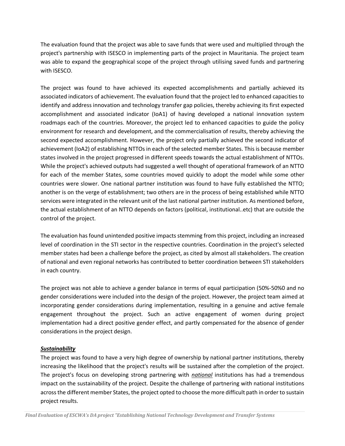The evaluation found that the project was able to save funds that were used and multiplied through the project's partnership with ISESCO in implementing parts of the project in Mauritania. The project team was able to expand the geographical scope of the project through utilising saved funds and partnering with ISESCO.

The project was found to have achieved its expected accomplishments and partially achieved its associated indicators of achievement. The evaluation found that the project led to enhanced capacities to identify and address innovation and technology transfer gap policies, thereby achieving its first expected accomplishment and associated indicator (IoA1) of having developed a national innovation system roadmaps each of the countries. Moreover, the project led to enhanced capacities to guide the policy environment for research and development, and the commercialisation of results, thereby achieving the second expected accomplishment. However, the project only partially achieved the second indicator of achievement (IoA2) of establishing NTTOs in each of the selected member States. This is because member states involved in the project progressed in different speeds towards the actual establishment of NTTOs. While the project's achieved outputs had suggested a well thought of operational framework of an NTTO for each of the member States, some countries moved quickly to adopt the model while some other countries were slower. One national partner institution was found to have fully established the NTTO; another is on the verge of establishment; two others are in the process of being established while NTTO services were integrated in the relevant unit of the last national partner institution. As mentioned before, the actual establishment of an NTTO depends on factors (political, institutional..etc) that are outside the control of the project.

The evaluation has found unintended positive impacts stemming from this project, including an increased level of coordination in the STI sector in the respective countries. Coordination in the project's selected member states had been a challenge before the project, as cited by almost all stakeholders. The creation of national and even regional networks has contributed to better coordination between STI stakeholders in each country.

The project was not able to achieve a gender balance in terms of equal participation (50%-50%0 and no gender considerations were included into the design of the project. However, the project team aimed at incorporating gender considerations during implementation, resulting in a genuine and active female engagement throughout the project. Such an active engagement of women during project implementation had a direct positive gender effect, and partly compensated for the absence of gender considerations in the project design.

#### *Sustainability*

The project was found to have a very high degree of ownership by national partner institutions, thereby increasing the likelihood that the project's results will be sustained after the completion of the project. The project's focus on developing strong partnering with *national* institutions has had a tremendous impact on the sustainability of the project. Despite the challenge of partnering with national institutions across the different member States, the project opted to choose the more difficult path in order to sustain project results.